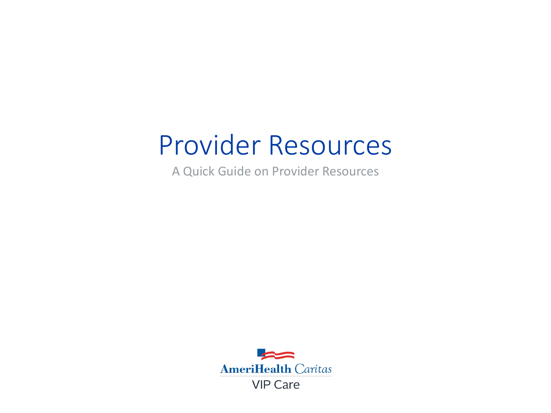# Provider Resources

A Quick Guide on Provider Resources

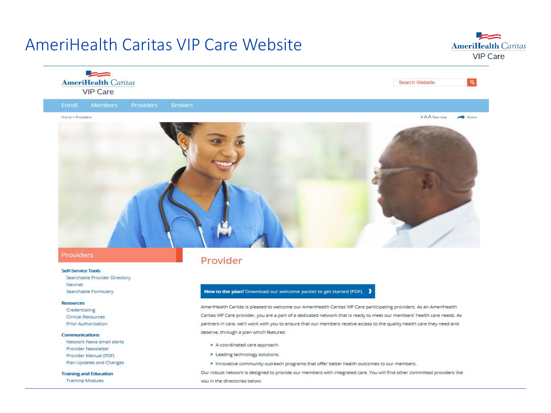### **AmeriHealth Caritas VIP Care Website**





#### Providers

#### **Self-Service Tools**

Searchable Provider Directory Navinet Searchable Formulary

#### **Resources**

Credentialing **Clinical Resources Prior Authorization** 

#### Communications

Network News email alerts **Provider Newsletter** Provider Manual (PDF) Plan Updates and Changes

#### **Training and Education**

**Training Modules** 

### Provider

#### New to the plan? Download our welcome packet to get started (PDF). >

AmeriHealth Caritas is pleased to welcome our AmeriHealth Caritas VIP Care participating providers. As an AmeriHealth Caritas VIP Care provider, you are a part of a dedicated network that is ready to meet our members' health care needs. As partners in care, we'll work with you to ensure that our members receive access to the quality health care they need and deserve, through a plan which features:

- A coordinated care approach.
- Leading technology solutions.
- . Innovative community outreach programs that offer better health outcomes to our members.

Our robust network is designed to provide our members with integrated care. You will find other committed providers like you in the directories below: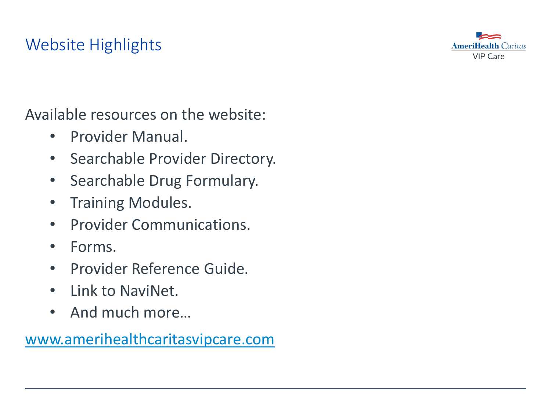## Website Highlights



Available resources on the website:

- Provider Manual.
- Searchable Provider Directory.
- Searchable Drug Formulary.
- Training Modules.
- Provider Communications.
- Forms.
- Provider Reference Guide.
- Link to NaviNet.
- And much more...

[www.amerihealthcaritasvipcare.com](http://www.amerihealthvipcare.com/)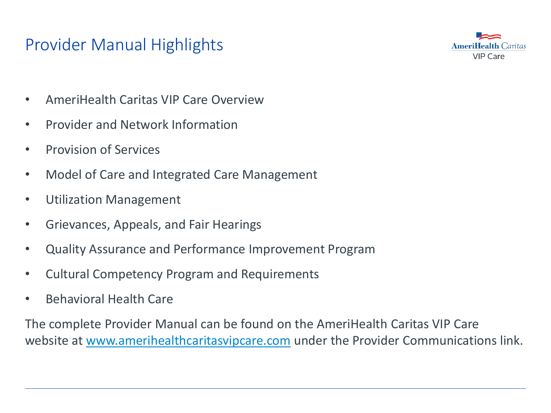### Provider Manual Highlights



- AmeriHealth Caritas VIP Care Overview
- Provider and Network Information
- Provision of Services
- Model of Care and Integrated Care Management
- Utilization Management
- Grievances, Appeals, and Fair Hearings
- Quality Assurance and Performance Improvement Program
- Cultural Competency Program and Requirements
- Behavioral Health Care

The complete Provider Manual can be found on the AmeriHealth Caritas VIP Care website at [www.amerihealthcaritasvipcare.com](http://www.amerihealthvipcare.com/) under the Provider Communications link.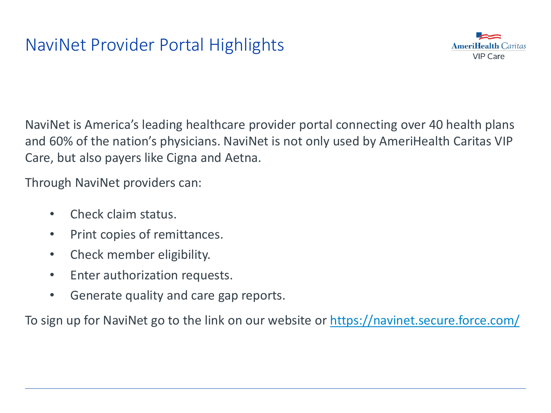

NaviNet is America's leading healthcare provider portal connecting over 40 health plans and 60% of the nation's physicians. NaviNet is not only used by AmeriHealth Caritas VIP Care, but also payers like Cigna and Aetna.

Through NaviNet providers can:

- Check claim status.
- Print copies of remittances.
- Check member eligibility.
- Enter authorization requests.
- Generate quality and care gap reports.

To sign up for NaviNet go to the link on our website or<https://navinet.secure.force.com/>